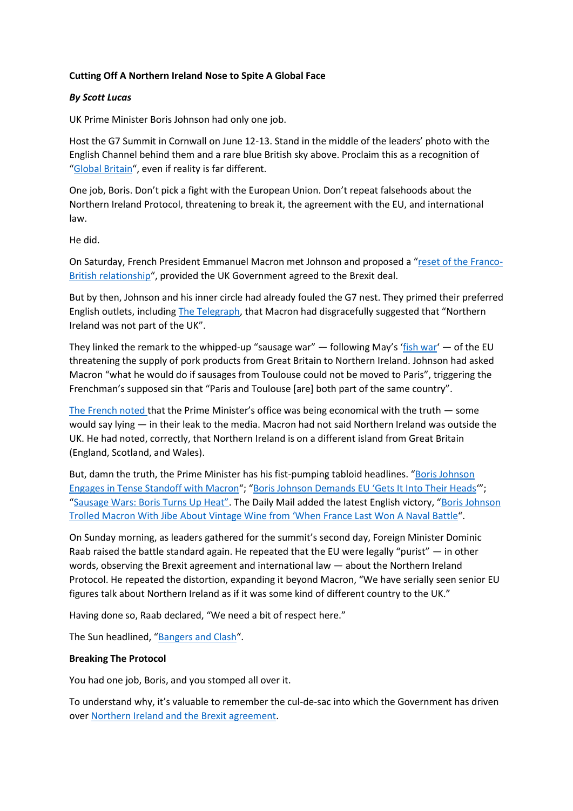## **Cutting Off A Northern Ireland Nose to Spite A Global Face**

## *By Scott Lucas*

UK Prime Minister Boris Johnson had only one job.

Host the G7 Summit in Cornwall on June 12-13. Stand in the middle of the leaders' photo with the English Channel behind them and a rare blue British sky above. Proclaim this as a recognition of "[Global Britain](https://eaworldview.com/2021/04/little-britain-blurred-global-vision/)", even if reality is far different.

One job, Boris. Don't pick a fight with the European Union. Don't repeat falsehoods about the Northern Ireland Protocol, threatening to break it, the agreement with the EU, and international law.

He did.

On Saturday, French President Emmanuel Macron met Johnson and proposed a "[reset of the Franco-](https://www.reuters.com/world/europe/exclusive-frances-macron-tells-uks-johnson-keep-your-word-brexit-deal-2021-06-12/)[British relationship](https://www.reuters.com/world/europe/exclusive-frances-macron-tells-uks-johnson-keep-your-word-brexit-deal-2021-06-12/)", provided the UK Government agreed to the Brexit deal.

But by then, Johnson and his inner circle had already fouled the G7 nest. They primed their preferred English outlets, including [The Telegraph](https://www.telegraph.co.uk/politics/2021/06/12/boris-johnson-infuriated-emmanuel-macron-suggested-northern/), that Macron had disgracefully suggested that "Northern Ireland was not part of the UK".

They linked the remark to the whipped-up "sausage war"  $-$  following May's '[fish war](https://eaworldview.com/2021/05/brexit-jingo-war-france-diversion/-)'  $-$  of the EU threatening the supply of pork products from Great Britain to Northern Ireland. Johnson had asked Macron "what he would do if sausages from Toulouse could not be moved to Paris", triggering the Frenchman's supposed sin that "Paris and Toulouse [are] both part of the same country".

[The French noted](https://www.bbc.co.uk/news/uk-politics-57460077) that the Prime Minister's office was being economical with the truth — some would say lying — in their leak to the media. Macron had not said Northern Ireland was outside the UK. He had noted, correctly, that Northern Ireland is on a different island from Great Britain (England, Scotland, and Wales).

But, damn the truth, the Prime Minister has his fist-pumping tabloid headlines. "Boris Johnson [Engages in Tense Standoff with Macron](https://www.dailymail.co.uk/news/article-9680571/Boris-Johnson-engages-tense-standoff-Macron-EU-chilled-meat-row.html)"; ["Boris Johnson Demands EU 'Gets It Into Their Heads'](https://www.dailymail.co.uk/news/article-9678607/Boris-Johnson-risks-EU-trade-war-vows-protect-Ulster-chilled-meat-exports.html)"; ["Sausage Wars: Boris Turns Up Heat".](https://www.express.co.uk/ourpaper/view/2021-06-12) The Daily Mail added the latest English victory, "[Boris Johnson](https://www.dailymail.co.uk/news/article-9683769/Boris-Johnson-trolled-Macron-jibe-vintage-wine.html)  Trolled Macron With Jibe Abou[t Vintage Wine from 'When France Last Won A Naval Battle"](https://www.dailymail.co.uk/news/article-9683769/Boris-Johnson-trolled-Macron-jibe-vintage-wine.html).

On Sunday morning, as leaders gathered for the summit's second day, Foreign Minister Dominic Raab raised the battle standard again. He repeated that the EU were legally "purist" — in other words, observing the Brexit agreement and international law — about the Northern Ireland Protocol. He repeated the distortion, expanding it beyond Macron, "We have serially seen senior EU figures talk about Northern Ireland as if it was some kind of different country to the UK."

Having done so, Raab declared, "We need a bit of respect here."

The Sun headlined, "[Bangers and Clash](https://www.thesun.co.uk/news/15257441/dominic-raab-eu-respect-northern-ireland/)".

## **Breaking The Protocol**

You had one job, Boris, and you stomped all over it.

To understand why, it's valuable to remember the cul-de-sac into which the Government has driven over [Northern Ireland and the Brexit agreement.](https://eaworldview.com/2021/03/johnson-government-brexit-failure/)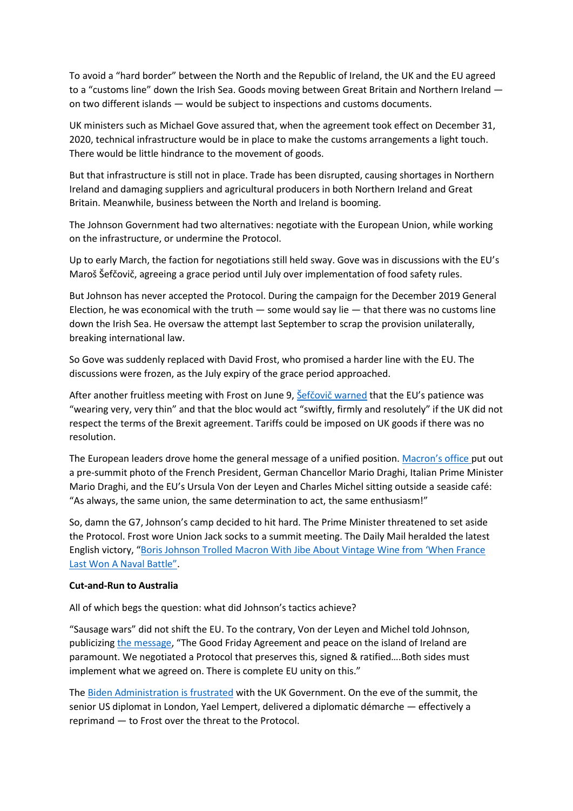To avoid a "hard border" between the North and the Republic of Ireland, the UK and the EU agreed to a "customs line" down the Irish Sea. Goods moving between Great Britain and Northern Ireland on two different islands — would be subject to inspections and customs documents.

UK ministers such as Michael Gove assured that, when the agreement took effect on December 31, 2020, technical infrastructure would be in place to make the customs arrangements a light touch. There would be little hindrance to the movement of goods.

But that infrastructure is still not in place. Trade has been disrupted, causing shortages in Northern Ireland and damaging suppliers and agricultural producers in both Northern Ireland and Great Britain. Meanwhile, business between the North and Ireland is booming.

The Johnson Government had two alternatives: negotiate with the European Union, while working on the infrastructure, or undermine the Protocol.

Up to early March, the faction for negotiations still held sway. Gove was in discussions with the EU's Maroš Šefčovič, agreeing a grace period until July over implementation of food safety rules.

But Johnson has never accepted the Protocol. During the campaign for the December 2019 General Election, he was economical with the truth  $-$  some would say lie  $-$  that there was no customs line down the Irish Sea. He oversaw the attempt last September to scrap the provision unilaterally, breaking international law.

So Gove was suddenly replaced with David Frost, who promised a harder line with the EU. The discussions were frozen, as the July expiry of the grace period approached.

After another fruitless meeting with Frost on June 9, Sefčovič warned that the EU's patience was "wearing very, very thin" and that the bloc would act "swiftly, firmly and resolutely" if the UK did not respect the terms of the Brexit agreement. Tariffs could be imposed on UK goods if there was no resolution.

The European leaders drove home the general message of a unified position. [Macron's office](https://twitter.com/EmmanuelMacron/status/1403325189253906436) put out a pre-summit photo of the French President, German Chancellor Mario Draghi, Italian Prime Minister Mario Draghi, and the EU's Ursula Von der Leyen and Charles Michel sitting outside a seaside café: "As always, the same union, the same determination to act, the same enthusiasm!"

So, damn the G7, Johnson's camp decided to hit hard. The Prime Minister threatened to set aside the Protocol. Frost wore Union Jack socks to a summit meeting. The Daily Mail heralded the latest English victory, ["Boris Johnson Trolled Macron With Jibe About Vintage Wine from 'When France](https://www.dailymail.co.uk/news/article-9683769/Boris-Johnson-trolled-Macron-jibe-vintage-wine.html)  [Last Won A Naval Battle"](https://www.dailymail.co.uk/news/article-9683769/Boris-Johnson-trolled-Macron-jibe-vintage-wine.html).

## **Cut-and-Run to Australia**

All of which begs the question: what did Johnson's tactics achieve?

"Sausage wars" did not shift the EU. To the contrary, Von der Leyen and Michel told Johnson, publicizing [the message](https://twitter.com/vonderleyen/status/1403646281101283329), "The Good Friday Agreement and peace on the island of Ireland are paramount. We negotiated a Protocol that preserves this, signed & ratified….Both sides must implement what we agreed on. There is complete EU unity on this."

The [Biden Administration is frustrated](https://centreforbrexitstudiesblog.wordpress.com/2020/12/11/biden-tears-up-johnsons-mythical-us-uk-trade-deal/) with the UK Government. On the eve of the summit, the senior US diplomat in London, Yael Lempert, delivered a diplomatic démarche — effectively a reprimand — to Frost over the threat to the Protocol.